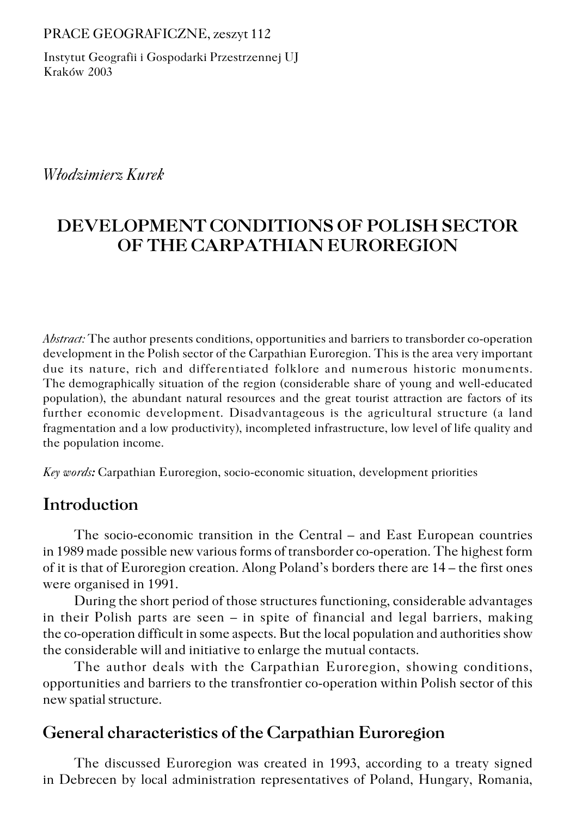#### PRACE GEOGRAFICZNE, zeszyt 112

Instytut Geografii i Gospodarki Przestrzennej UJ Kraków 2003

### *Włodzimierz Kurek*

# **DEVELOPMENT CONDITIONS OF POLISH SECTOR OF THE CARPATHIAN EUROREGION**

*Abstract:* The author presents conditions, opportunities and barriers to transborder co−operation development in the Polish sector of the Carpathian Euroregion. This is the area very important due its nature, rich and differentiated folklore and numerous historic monuments. The demographically situation of the region (considerable share of young and well-educated population), the abundant natural resources and the great tourist attraction are factors of its further economic development. Disadvantageous is the agricultural structure (a land fragmentation and a low productivity), incompleted infrastructure, low level of life quality and the population income.

*Key words:* Carpathian Euroregion, socio−economic situation, development priorities

## **Introduction**

The socio−economic transition in the Central – and East European countries in 1989 made possible new various forms of transborder co−operation. The highest form of it is that of Euroregion creation. Along Poland's borders there are 14 – the first ones were organised in 1991.

During the short period of those structures functioning, considerable advantages in their Polish parts are seen – in spite of financial and legal barriers, making the co−operation difficult in some aspects. But the local population and authorities show the considerable will and initiative to enlarge the mutual contacts.

The author deals with the Carpathian Euroregion, showing conditions, opportunities and barriers to the transfrontier co−operation within Polish sector of this new spatial structure.

## **General characteristics of the Carpathian Euroregion**

The discussed Euroregion was created in 1993, according to a treaty signed in Debrecen by local administration representatives of Poland, Hungary, Romania,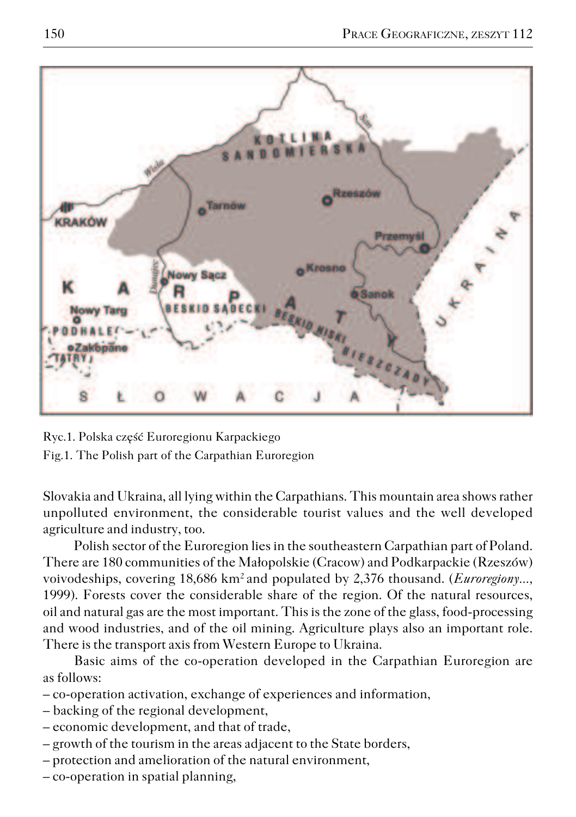

Ryc.1. Polska część Euroregionu Karpackiego Fig.1. The Polish part of the Carpathian Euroregion

Slovakia and Ukraina, all lying within the Carpathians. This mountain area shows rather unpolluted environment, the considerable tourist values and the well developed agriculture and industry, too.

Polish sector of the Euroregion lies in the southeastern Carpathian part of Poland. There are 180 communities of the Małopolskie (Cracow) and Podkarpackie (Rzeszów) voivodeships, covering 18,686 km<sup>2</sup> and populated by 2,376 thousand. (*Euroregiony...*, 1999). Forests cover the considerable share of the region. Of the natural resources, oil and natural gas are the most important. This is the zone of the glass, food−processing and wood industries, and of the oil mining. Agriculture plays also an important role. There is the transport axis from Western Europe to Ukraina.

Basic aims of the co−operation developed in the Carpathian Euroregion are as follows:

- co−operation activation, exchange of experiences and information,
- backing of the regional development,
- economic development, and that of trade,
- growth of the tourism in the areas adjacent to the State borders,
- protection and amelioration of the natural environment,
- co−operation in spatial planning,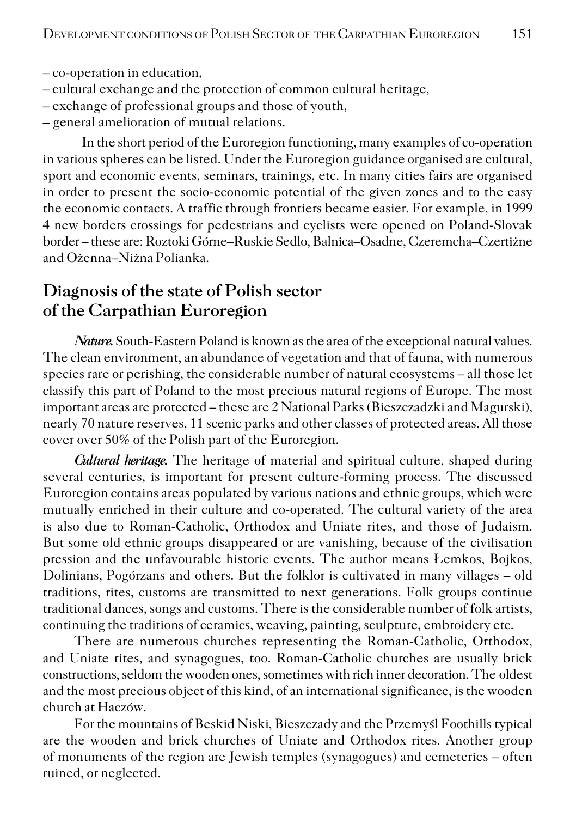- co−operation in education,
- cultural exchange and the protection of common cultural heritage,
- exchange of professional groups and those of youth,
- general amelioration of mutual relations.

In the short period of the Euroregion functioning, many examples of co−operation in various spheres can be listed. Under the Euroregion guidance organised are cultural, sport and economic events, seminars, trainings, etc. In many cities fairs are organised in order to present the socio−economic potential of the given zones and to the easy the economic contacts. A traffic through frontiers became easier. For example, in 1999 4 new borders crossings for pedestrians and cyclists were opened on Poland−Slovak border – these are: Roztoki Górne–Ruskie Sedlo, Balnica–Osadne, Czeremcha–Czertiżne and Ożenna–Niżna Polianka.

## **Diagnosis of the state of Polish sector of the Carpathian Euroregion**

*Nature.* South-Eastern Poland is known as the area of the exceptional natural values. The clean environment, an abundance of vegetation and that of fauna, with numerous species rare or perishing, the considerable number of natural ecosystems – all those let classify this part of Poland to the most precious natural regions of Europe. The most important areas are protected – these are 2 National Parks (Bieszczadzki and Magurski), nearly 70 nature reserves, 11 scenic parks and other classes of protected areas. All those cover over 50% of the Polish part of the Euroregion.

*Cultural heritage.* The heritage of material and spiritual culture, shaped during several centuries, is important for present culture−forming process. The discussed Euroregion contains areas populated by various nations and ethnic groups, which were mutually enriched in their culture and co−operated. The cultural variety of the area is also due to Roman−Catholic, Orthodox and Uniate rites, and those of Judaism. But some old ethnic groups disappeared or are vanishing, because of the civilisation pression and the unfavourable historic events. The author means Łemkos, Bojkos, Dolinians, Pogórzans and others. But the folklor is cultivated in many villages – old traditions, rites, customs are transmitted to next generations. Folk groups continue traditional dances, songs and customs. There is the considerable number of folk artists, continuing the traditions of ceramics, weaving, painting, sculpture, embroidery etc.

There are numerous churches representing the Roman−Catholic, Orthodox, and Uniate rites, and synagogues, too. Roman−Catholic churches are usually brick constructions, seldom the wooden ones, sometimes with rich inner decoration. The oldest and the most precious object of this kind, of an international significance, is the wooden church at Haczów.

For the mountains of Beskid Niski, Bieszczady and the Przemyśl Foothills typical are the wooden and brick churches of Uniate and Orthodox rites. Another group of monuments of the region are Jewish temples (synagogues) and cemeteries – often ruined, or neglected.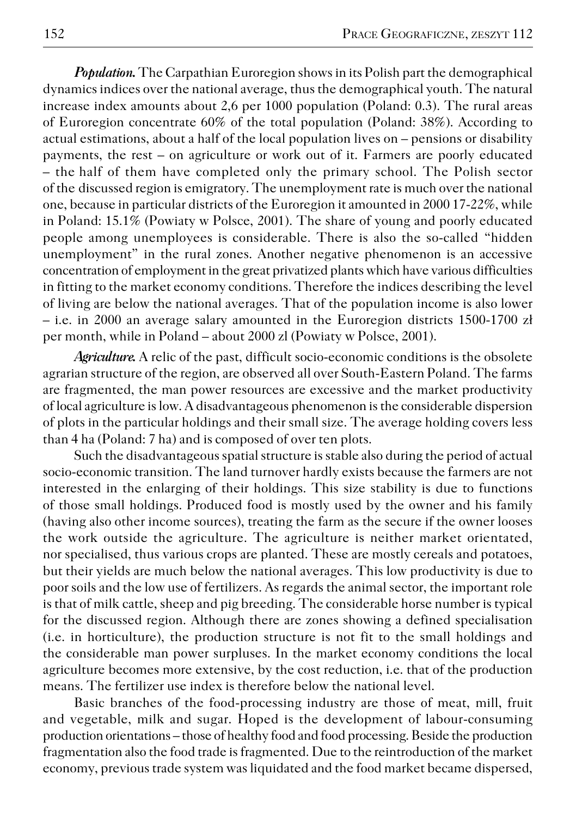*Population.* The Carpathian Euroregion shows in its Polish part the demographical dynamics indices over the national average, thus the demographical youth. The natural increase index amounts about 2,6 per 1000 population (Poland: 0.3). The rural areas of Euroregion concentrate 60% of the total population (Poland: 38%). According to actual estimations, about a half of the local population lives on – pensions or disability payments, the rest – on agriculture or work out of it. Farmers are poorly educated – the half of them have completed only the primary school. The Polish sector of the discussed region is emigratory. The unemployment rate is much over the national one, because in particular districts of the Euroregion it amounted in 2000 17−22%, while in Poland: 15.1% (Powiaty w Polsce, 2001). The share of young and poorly educated people among unemployees is considerable. There is also the so−called "hidden unemployment" in the rural zones. Another negative phenomenon is an accessive concentration of employment in the great privatized plants which have various difficulties in fitting to the market economy conditions. Therefore the indices describing the level of living are below the national averages. That of the population income is also lower – i.e. in 2000 an average salary amounted in the Euroregion districts 1500−1700 zł per month, while in Poland – about 2000 zl (Powiaty w Polsce, 2001).

*Agriculture.* A relic of the past, difficult socio−economic conditions is the obsolete agrarian structure of the region, are observed all over South−Eastern Poland. The farms are fragmented, the man power resources are excessive and the market productivity of local agriculture is low. A disadvantageous phenomenon is the considerable dispersion of plots in the particular holdings and their small size. The average holding covers less than 4 ha (Poland: 7 ha) and is composed of over ten plots.

Such the disadvantageous spatial structure is stable also during the period of actual socio−economic transition. The land turnover hardly exists because the farmers are not interested in the enlarging of their holdings. This size stability is due to functions of those small holdings. Produced food is mostly used by the owner and his family (having also other income sources), treating the farm as the secure if the owner looses the work outside the agriculture. The agriculture is neither market orientated, nor specialised, thus various crops are planted. These are mostly cereals and potatoes, but their yields are much below the national averages. This low productivity is due to poor soils and the low use of fertilizers. As regards the animal sector, the important role is that of milk cattle, sheep and pig breeding. The considerable horse number is typical for the discussed region. Although there are zones showing a defined specialisation (i.e. in horticulture), the production structure is not fit to the small holdings and the considerable man power surpluses. In the market economy conditions the local agriculture becomes more extensive, by the cost reduction, i.e. that of the production means. The fertilizer use index is therefore below the national level.

Basic branches of the food−processing industry are those of meat, mill, fruit and vegetable, milk and sugar. Hoped is the development of labour−consuming production orientations – those of healthy food and food processing. Beside the production fragmentation also the food trade is fragmented. Due to the reintroduction of the market economy, previous trade system was liquidated and the food market became dispersed,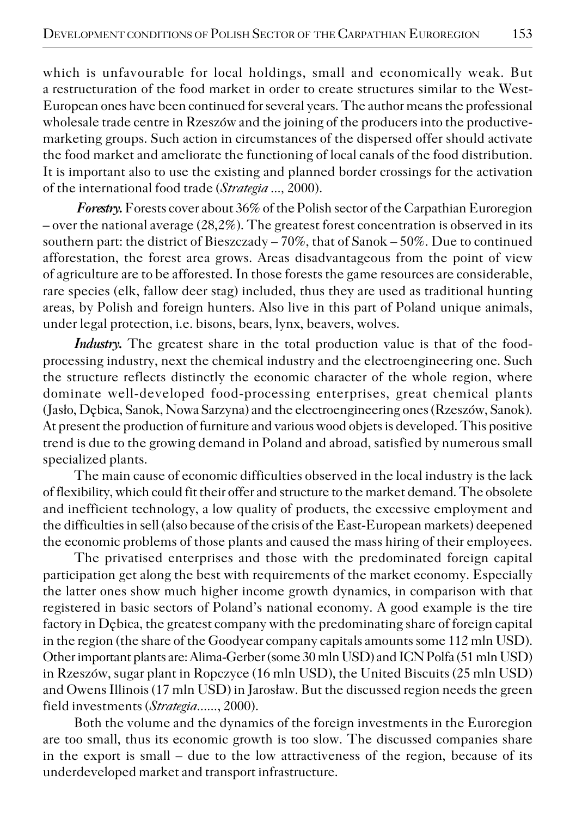which is unfavourable for local holdings, small and economically weak. But arestructuration of the food market in order to create structures similar to the West− European ones have been continued for several years. The author means the professional wholesale trade centre in Rzeszów and the joining of the producers into the productive− marketing groups. Such action in circumstances of the dispersed offer should activate the food market and ameliorate the functioning of local canals of the food distribution. It is important also to use the existing and planned border crossings for the activation of the international food trade (*Strategia ...,* 2000).

 *Forestry.* Forests cover about 36% of the Polish sector of the Carpathian Euroregion – over the national average  $(28.2\%)$ . The greatest forest concentration is observed in its southern part: the district of Bieszczady – 70%, that of Sanok – 50%. Due to continued afforestation, the forest area grows. Areas disadvantageous from the point of view of agriculture are to be afforested. In those forests the game resources are considerable, rare species (elk, fallow deer stag) included, thus they are used as traditional hunting areas, by Polish and foreign hunters. Also live in this part of Poland unique animals, under legal protection, i.e. bisons, bears, lynx, beavers, wolves.

*Industry.* The greatest share in the total production value is that of the food− processing industry, next the chemical industry and the electroengineering one. Such the structure reflects distinctly the economic character of the whole region, where dominate well−developed food−processing enterprises, great chemical plants (Jasło, Dębica, Sanok, Nowa Sarzyna) and the electroengineering ones (Rzeszów, Sanok). At present the production of furniture and various wood objets is developed. This positive trend is due to the growing demand in Poland and abroad, satisfied by numerous small specialized plants.

The main cause of economic difficulties observed in the local industry is the lack of flexibility, which could fit their offer and structure to the market demand. The obsolete and inefficient technology, a low quality of products, the excessive employment and the difficulties in sell (also because of the crisis of the East−European markets) deepened the economic problems of those plants and caused the mass hiring of their employees.

The privatised enterprises and those with the predominated foreign capital participation get along the best with requirements of the market economy. Especially the latter ones show much higher income growth dynamics, in comparison with that registered in basic sectors of Poland's national economy. A good example is the tire factory in Dębica, the greatest company with the predominating share of foreign capital in the region (the share of the Goodyear company capitals amounts some 112 mln USD). Other important plants are: Alima−Gerber (some 30 mln USD) and ICN Polfa (51 mln USD) in Rzeszów, sugar plant in Ropczyce (16 mln USD), the United Biscuits (25 mln USD) and Owens Illinois (17 mln USD) in Jarosław. But the discussed region needs the green field investments (*Strategia......*, 2000).

Both the volume and the dynamics of the foreign investments in the Euroregion are too small, thus its economic growth is too slow. The discussed companies share in the export is small – due to the low attractiveness of the region, because of its underdeveloped market and transport infrastructure.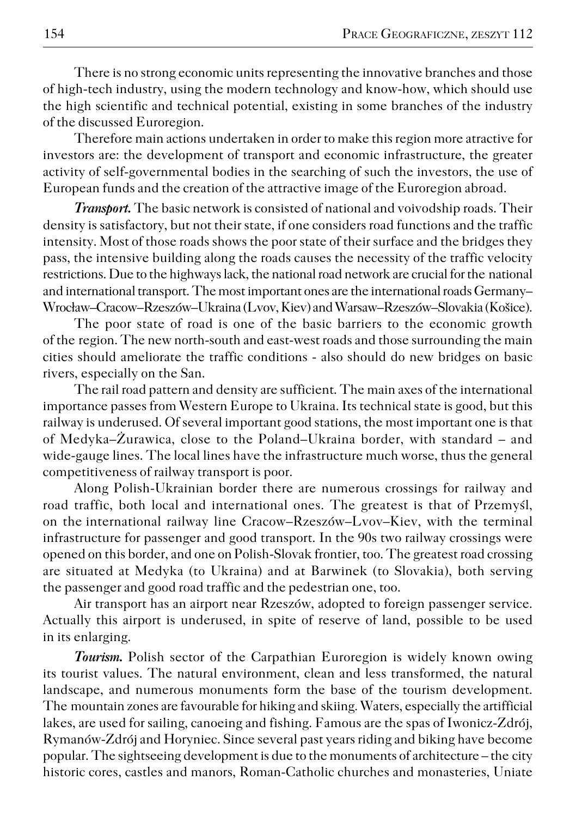There is no strong economic units representing the innovative branches and those of high−tech industry, using the modern technology and know−how, which should use the high scientific and technical potential, existing in some branches of the industry of the discussed Euroregion.

Therefore main actions undertaken in order to make this region more atractive for investors are: the development of transport and economic infrastructure, the greater activity of self−governmental bodies in the searching of such the investors, the use of European funds and the creation of the attractive image of the Euroregion abroad.

*Transport.* The basic network is consisted of national and voivodship roads. Their density is satisfactory, but not their state, if one considers road functions and the traffic intensity. Most of those roads shows the poor state of their surface and the bridges they pass, the intensive building along the roads causes the necessity of the traffic velocity restrictions. Due to the highways lack, the national road network are crucial for the national and international transport. The most important ones are the international roads Germany– Wrocław–Cracow–Rzeszów–Ukraina (Lvov, Kiev) and Warsaw–Rzeszów–Slovakia (Košice).

The poor state of road is one of the basic barriers to the economic growth of the region. The new north-south and east-west roads and those surrounding the main cities should ameliorate the traffic conditions − also should do new bridges on basic rivers, especially on the San.

The rail road pattern and density are sufficient. The main axes of the international importance passes from Western Europe to Ukraina. Its technical state is good, but this railway is underused. Of several important good stations, the most important one is that of Medyka–Żurawica, close to the Poland–Ukraina border, with standard – and wide−gauge lines. The local lines have the infrastructure much worse, thus the general competitiveness of railway transport is poor.

Along Polish−Ukrainian border there are numerous crossings for railway and road traffic, both local and international ones. The greatest is that of Przemyśl, on the international railway line Cracow–Rzeszów–Lvov–Kiev, with the terminal infrastructure for passenger and good transport. In the 90s two railway crossings were opened on this border, and one on Polish−Slovak frontier, too. The greatest road crossing are situated at Medyka (to Ukraina) and at Barwinek (to Slovakia), both serving the passenger and good road traffic and the pedestrian one, too.

Air transport has an airport near Rzeszów, adopted to foreign passenger service. Actually this airport is underused, in spite of reserve of land, possible to be used in its enlarging.

*Tourism.* Polish sector of the Carpathian Euroregion is widely known owing its tourist values. The natural environment, clean and less transformed, the natural landscape, and numerous monuments form the base of the tourism development. The mountain zones are favourable for hiking and skiing. Waters, especially the artifficial lakes, are used for sailing, canoeing and fishing. Famous are the spas of Iwonicz−Zdrój, Rymanów−Zdrój and Horyniec. Since several past years riding and biking have become popular. The sightseeing development is due to the monuments of architecture – the city historic cores, castles and manors, Roman−Catholic churches and monasteries, Uniate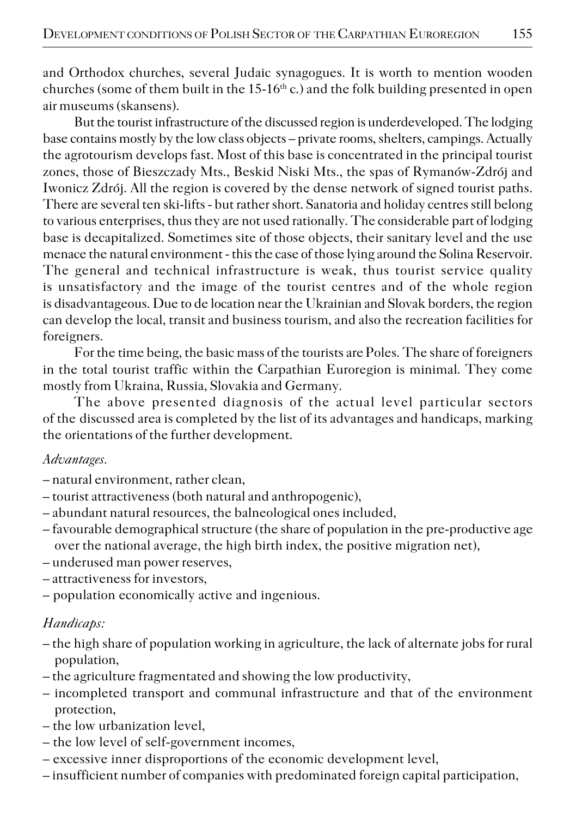and Orthodox churches, several Judaic synagogues. It is worth to mention wooden churches (some of them built in the 15−16<sup>th</sup> c.) and the folk building presented in open air museums (skansens).

But the tourist infrastructure of the discussed region is underdeveloped. The lodging base contains mostly by the low class objects – private rooms, shelters, campings. Actually the agrotourism develops fast. Most of this base is concentrated in the principal tourist zones, those of Bieszczady Mts., Beskid Niski Mts., the spas of Rymanów−Zdrój and Iwonicz Zdrój. All the region is covered by the dense network of signed tourist paths. There are several ten ski−lifts − but rather short. Sanatoria and holiday centres still belong to various enterprises, thus they are not used rationally. The considerable part of lodging base is decapitalized. Sometimes site of those objects, their sanitary level and the use menace the natural environment − this the case of those lying around the Solina Reservoir. The general and technical infrastructure is weak, thus tourist service quality is unsatisfactory and the image of the tourist centres and of the whole region is disadvantageous. Due to de location near the Ukrainian and Slovak borders, the region can develop the local, transit and business tourism, and also the recreation facilities for foreigners.

For the time being, the basic mass of the tourists are Poles. The share of foreigners in the total tourist traffic within the Carpathian Euroregion is minimal. They come mostly from Ukraina, Russia, Slovakia and Germany.

The above presented diagnosis of the actual level particular sectors of the discussed area is completed by the list of its advantages and handicaps, marking the orientations of the further development.

#### *Advantages.*

- natural environment, rather clean,
- tourist attractiveness (both natural and anthropogenic),
- abundant natural resources, the balneological ones included,
- favourable demographical structure (the share of population in the pre−productive age over the national average, the high birth index, the positive migration net),
- underused man power reserves,
- attractiveness for investors,
- population economically active and ingenious.

### *Handicaps:*

- the high share of population working in agriculture, the lack of alternate jobs for rural population,
- the agriculture fragmentated and showing the low productivity,
- incompleted transport and communal infrastructure and that of the environment protection,
- the low urbanization level,
- the low level of self−government incomes,
- excessive inner disproportions of the economic development level,
- insufficient number of companies with predominated foreign capital participation,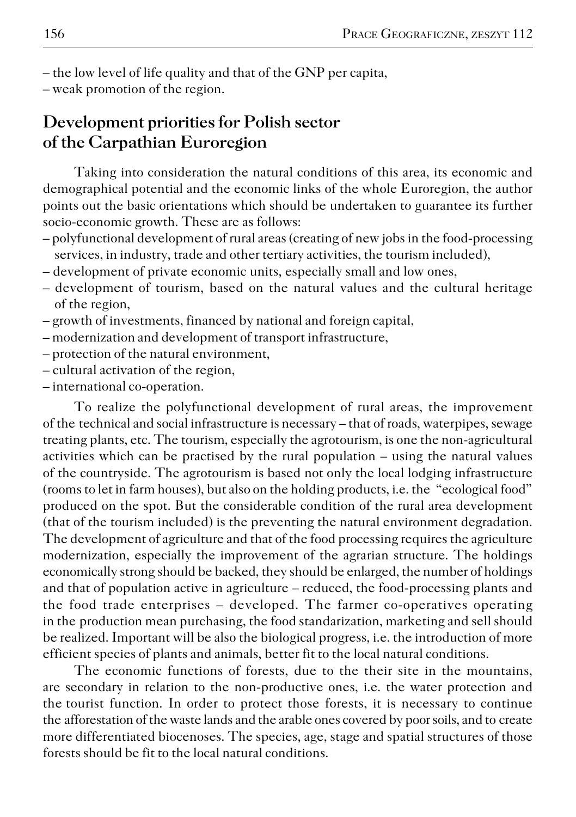– the low level of life quality and that of the GNP per capita,

– weak promotion of the region.

## **Development priorities for Polish sector of the Carpathian Euroregion**

Taking into consideration the natural conditions of this area, its economic and demographical potential and the economic links of the whole Euroregion, the author points out the basic orientations which should be undertaken to guarantee its further socio−economic growth. These are as follows:

- polyfunctional development of rural areas (creating of new jobs in the food−processing services, in industry, trade and other tertiary activities, the tourism included),
- development of private economic units, especially small and low ones,
- development of tourism, based on the natural values and the cultural heritage of the region,
- growth of investments, financed by national and foreign capital,
- modernization and development of transport infrastructure,
- protection of the natural environment,
- cultural activation of the region,
- international co−operation.

To realize the polyfunctional development of rural areas, the improvement of the technical and social infrastructure is necessary – that of roads, waterpipes, sewage treating plants, etc. The tourism, especially the agrotourism, is one the non−agricultural activities which can be practised by the rural population – using the natural values of the countryside. The agrotourism is based not only the local lodging infrastructure (rooms to let in farm houses), but also on the holding products, i.e. the "ecological food" produced on the spot. But the considerable condition of the rural area development (that of the tourism included) is the preventing the natural environment degradation. The development of agriculture and that of the food processing requires the agriculture modernization, especially the improvement of the agrarian structure. The holdings economically strong should be backed, they should be enlarged, the number of holdings and that of population active in agriculture – reduced, the food−processing plants and the food trade enterprises – developed. The farmer co−operatives operating in the production mean purchasing, the food standarization, marketing and sell should be realized. Important will be also the biological progress, i.e. the introduction of more efficient species of plants and animals, better fit to the local natural conditions.

The economic functions of forests, due to the their site in the mountains, are secondary in relation to the non−productive ones, i.e. the water protection and the tourist function. In order to protect those forests, it is necessary to continue the afforestation of the waste lands and the arable ones covered by poor soils, and to create more differentiated biocenoses. The species, age, stage and spatial structures of those forests should be fit to the local natural conditions.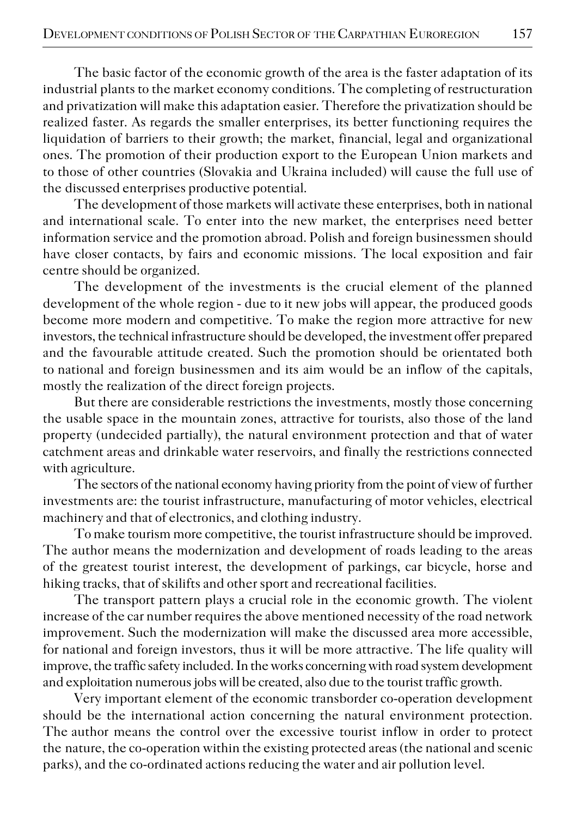The basic factor of the economic growth of the area is the faster adaptation of its industrial plants to the market economy conditions. The completing of restructuration and privatization will make this adaptation easier. Therefore the privatization should be realized faster. As regards the smaller enterprises, its better functioning requires the liquidation of barriers to their growth; the market, financial, legal and organizational ones. The promotion of their production export to the European Union markets and tothose of other countries (Slovakia and Ukraina included) will cause the full use of the discussed enterprises productive potential.

The development of those markets will activate these enterprises, both in national and international scale. To enter into the new market, the enterprises need better information service and the promotion abroad. Polish and foreign businessmen should have closer contacts, by fairs and economic missions. The local exposition and fair centre should be organized.

The development of the investments is the crucial element of the planned development of the whole region − due to it new jobs will appear, the produced goods become more modern and competitive. To make the region more attractive for new investors, the technical infrastructure should be developed, the investment offer prepared and the favourable attitude created. Such the promotion should be orientated both tonational and foreign businessmen and its aim would be an inflow of the capitals, mostly the realization of the direct foreign projects.

But there are considerable restrictions the investments, mostly those concerning the usable space in the mountain zones, attractive for tourists, also those of the land property (undecided partially), the natural environment protection and that of water catchment areas and drinkable water reservoirs, and finally the restrictions connected with agriculture.

The sectors of the national economy having priority from the point of view of further investments are: the tourist infrastructure, manufacturing of motor vehicles, electrical machinery and that of electronics, and clothing industry.

To make tourism more competitive, the tourist infrastructure should be improved. The author means the modernization and development of roads leading to the areas of the greatest tourist interest, the development of parkings, car bicycle, horse and hiking tracks, that of skilifts and other sport and recreational facilities.

The transport pattern plays a crucial role in the economic growth. The violent increase of the car number requires the above mentioned necessity of the road network improvement. Such the modernization will make the discussed area more accessible, for national and foreign investors, thus it will be more attractive. The life quality will improve, the traffic safety included. In the works concerning with road system development and exploitation numerous jobs will be created, also due to the tourist traffic growth.

Very important element of the economic transborder co−operation development should be the international action concerning the natural environment protection. The author means the control over the excessive tourist inflow in order to protect the nature, the co-operation within the existing protected areas (the national and scenic parks), and the co−ordinated actions reducing the water and air pollution level.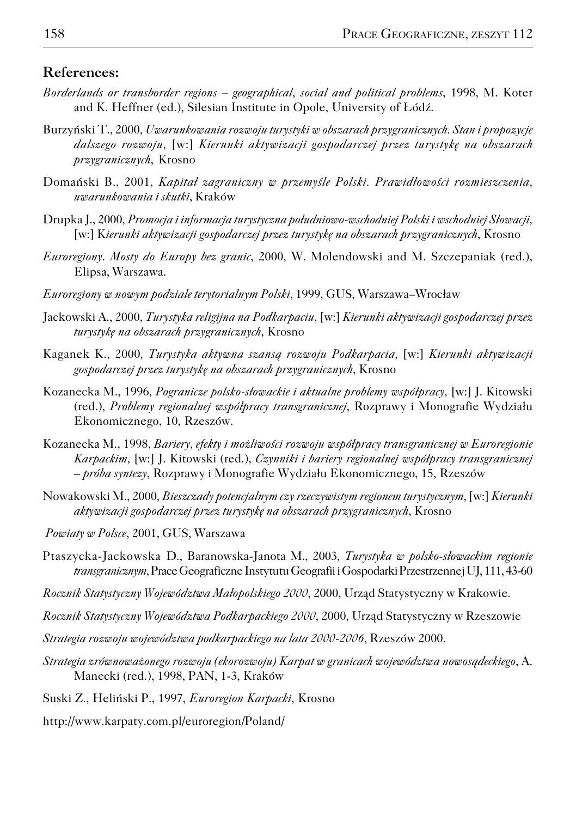#### **References:**

- *Borderlands or transborder regions geographical, social and political problems*, 1998, M. Koter and K. Heffner (ed.), Silesian Institute in Opole, University of Łódź.
- Burzyński T., 2000*, Uwarunkowania rozwoju turystyki w obszarach przygranicznych. Stan i propozycje dalszego rozwoju,* [w:] *Kierunki aktywizacji gospodarczej przez turystykę na obszarach przygranicznych*, Krosno
- Domański B., 2001, *Kapitał zagraniczny w przemyśle Polski. Prawidłowości rozmieszczenia, uwarunkowania i skutki*, Kraków
- Drupka J., 2000, *Promocja i informacja turystyczna południowo−wschodniej Polski i wschodniej Słowacji,* [w:] K*ierunki aktywizacji gospodarczej przez turystykę na obszarach przygranicznych*, Krosno
- *Euroregiony. Mosty do Europy bez granic*, 2000, W. Molendowski and M. Szczepaniak (red.), Elipsa, Warszawa.
- *Euroregiony w nowym podziale terytorialnym Polski*, 1999, GUS, Warszawa–Wrocław
- Jackowski A., 2000, *Turystyka religijna na Podkarpaciu*, [w:] *Kierunki aktywizacji gospodarczej przez turystykę na obszarach przygranicznych*, Krosno
- Kaganek K., 2000*, Turystyka aktywna szansą rozwoju Podkarpacia,* [w:] *Kierunki aktywizacji gospodarczej przez turystykę na obszarach przygranicznych*, Krosno
- Kozanecka M., 1996, *Pogranicze polsko−słowackie i aktualne problemy współpracy,* [w:] J. Kitowski (red.), *Problemy regionalnej współpracy transgranicznej*, Rozprawy i Monografie Wydziału Ekonomicznego, 10, Rzeszów.
- Kozanecka M., 1998, *Bariery, efekty i możliwości rozwoju współpracy transgranicznej w Euroregionie Karpackim,* [w:] J. Kitowski (red.), *Czynniki i bariery regionalnej współpracy transgranicznej – próba syntezy*, Rozprawy i Monografie Wydziału Ekonomicznego, 15, Rzeszów
- Nowakowski M., 2000*, Bieszczady potencjalnym czy rzeczywistym regionem turystycznym,* [w:] *Kierunki aktywizacji gospodarczej przez turystykę na obszarach przygranicznych*, Krosno
- *Powiaty w Polsce*, 2001, GUS, Warszawa
- Ptaszycka−Jackowska D., Baranowska−Janota M., 2003*, Turystyka w polsko−słowackim regionie transgranicznym*, Prace Geograficzne Instytutu Geografii i Gospodarki Przestrzennej UJ, 111, 43−60
- *Rocznik Statystyczny Województwa Małopolskiego 2000*, 2000, Urząd Statystyczny w Krakowie.
- *Rocznik Statystyczny Województwa Podkarpackiego 2000*, 2000, Urząd Statystyczny w Rzeszowie
- *Strategia rozwoju województwa podkarpackiego na lata 2000−2006*, Rzeszów 2000.
- *Strategia zrównoważonego rozwoju (ekorozwoju) Karpat w granicach województwa nowosądeckiego*, A. Manecki (red.), 1998, PAN, 1−3, Kraków
- Suski Z., Heliński P., 1997, *Euroregion Karpacki*, Krosno
- http://www.karpaty.com.pl/euroregion/Poland/